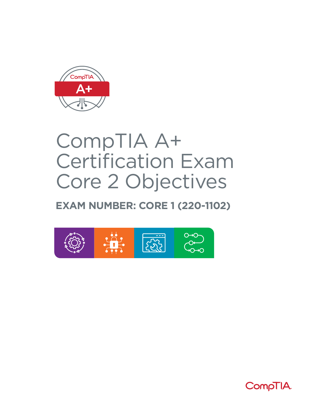

# CompTIA A+ Certification Exam Core 2 Objectives

## **EXAM NUMBER: CORE 1 (220-1102)**



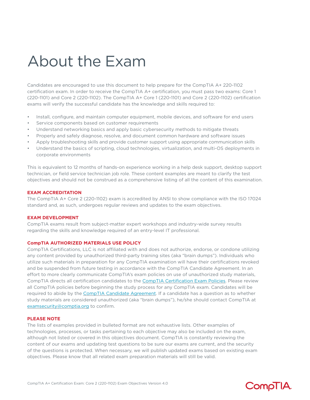# About the Exam

Candidates are encouraged to use this document to help prepare for the CompTIA A+ 220-1102 certification exam. In order to receive the CompTIA A+ certification, you must pass two exams: Core 1 (220-1101) and Core 2 (220-1102). The CompTIA A+ Core 1 (220-1101) and Core 2 (220-1102) certification exams will verify the successful candidate has the knowledge and skills required to:

- Install, configure, and maintain computer equipment, mobile devices, and software for end users
- Service components based on customer requirements
- Understand networking basics and apply basic cybersecurity methods to mitigate threats
- Properly and safely diagnose, resolve, and document common hardware and software issues
- Apply troubleshooting skills and provide customer support using appropriate communication skills
- Understand the basics of scripting, cloud technologies, virtualization, and multi-OS deployments in corporate environments

This is equivalent to 12 months of hands-on experience working in a help desk support, desktop support technician, or field service technician job role. These content examples are meant to clarify the test objectives and should not be construed as a comprehensive listing of all the content of this examination.

### **EXAM ACCREDITATION**

The CompTIA A+ Core 2 (220-1102) exam is accredited by ANSI to show compliance with the ISO 17024 standard and, as such, undergoes regular reviews and updates to the exam objectives.

### **EXAM DEVELOPMENT**

CompTIA exams result from subject-matter expert workshops and industry-wide survey results regarding the skills and knowledge required of an entry-level IT professional.

### **CompTIA AUTHORIZED MATERIALS USE POLICY**

CompTIA Certifications, LLC is not affiliated with and does not authorize, endorse, or condone utilizing any content provided by unauthorized third-party training sites (aka "brain dumps"). Individuals who utilize such materials in preparation for any CompTIA examination will have their certifications revoked and be suspended from future testing in accordance with the CompTIA Candidate Agreement. In an effort to more clearly communicate CompTIA's exam policies on use of unauthorized study materials, CompTIA directs all certification candidates to the [CompTIA Certification Exam Policies](https://www.comptia.org/testing/testing-policies-procedures/test-policies). Please review all CompTIA policies before beginning the study process for any CompTIA exam. Candidates will be required to abide by the [CompTIA Candidate Agreement](https://www.comptia.org/testing/testing-policies-procedures/test-policies/comptia-candidate-agreement). If a candidate has a question as to whether study materials are considered unauthorized (aka "brain dumps"), he/she should contact CompTIA at [examsecurity@comptia.org](mailto:examsecurity%40comptia.org?subject=) to confirm.

### **PLEASE NOTE**

The lists of examples provided in bulleted format are not exhaustive lists. Other examples of technologies, processes, or tasks pertaining to each objective may also be included on the exam, although not listed or covered in this objectives document. CompTIA is constantly reviewing the content of our exams and updating test questions to be sure our exams are current, and the security of the questions is protected. When necessary, we will publish updated exams based on existing exam objectives. Please know that all related exam preparation materials will still be valid.

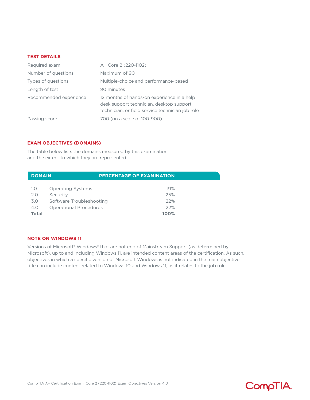### **TEST DETAILS**

| Required exam          | A+ Core 2 (220-1102)                                                                                                                       |
|------------------------|--------------------------------------------------------------------------------------------------------------------------------------------|
| Number of questions    | Maximum of 90                                                                                                                              |
| Types of questions     | Multiple-choice and performance-based                                                                                                      |
| Length of test         | 90 minutes                                                                                                                                 |
| Recommended experience | 12 months of hands-on experience in a help<br>desk support technician, desktop support<br>technician, or field service technician job role |
| Passing score          | 700 (on a scale of 100-900)                                                                                                                |

### **EXAM OBJECTIVES (DOMAINS)**

The table below lists the domains measured by this examination and the extent to which they are represented.

| <b>PERCENTAGE OF EXAMINATION</b><br><b>DOMAIN</b> |                               |      |  |
|---------------------------------------------------|-------------------------------|------|--|
|                                                   |                               |      |  |
| 1.0                                               | <b>Operating Systems</b>      | 31%  |  |
| 2.0                                               | Security                      | 25%  |  |
| 3.0                                               | Software Troubleshooting      | 22%  |  |
| 4.0                                               | <b>Operational Procedures</b> | 22%  |  |
| <b>Total</b>                                      |                               | 100% |  |

### **NOTE ON WINDOWS 11**

Versions of Microsoft® Windows® that are not end of Mainstream Support (as determined by Microsoft), up to and including Windows 11, are intended content areas of the certification. As such, objectives in which a specific version of Microsoft Windows is not indicated in the main objective title can include content related to Windows 10 and Windows 11, as it relates to the job role.

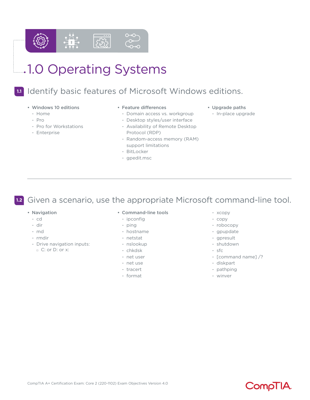

## **1.1** Identify basic features of Microsoft Windows editions.

О→О

- Windows 10 editions
	- Home
	- Pro
	- Pro for Workstations
	- Enterprise

### • Feature differences

- Domain access vs. workgroup
- Desktop styles/user interface
- Availability of Remote Desktop Protocol (RDP)
- Random-access memory (RAM) support limitations
- BitLocker
- gpedit.msc
- Upgrade paths
	- In-place upgrade

**1.2** Given a scenario, use the appropriate Microsoft command-line tool.

- Navigation
	- cd
	- dir
	- md
	- rmdir
	- Drive navigation inputs:
		- $\Box$  C: or D: or x:
- Command-line tools
	- ipconfig
	- ping
	- hostname
	- netstat
	- nslookup
	- chkdsk
	- net user
	- net use
	- tracert
	- format
- xcopy
- copy
- robocopy
- gpupdate
- gpresult
- shutdown
- sfc
- [command name] /?
- diskpart
- pathping
- winver

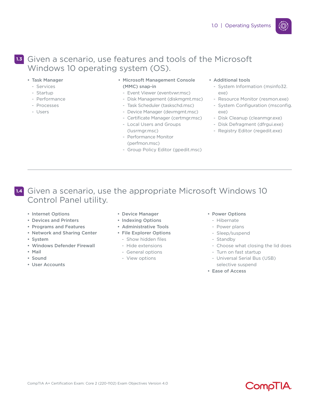### **1.3** Given a scenario, use features and tools of the Microsoft Windows 10 operating system (OS).

- Task Manager
	- Services
	- Startup
	- Performance
- Processes
- Users
- Microsoft Management Console (MMC) snap-in
	- Event Viewer (eventvwr.msc)
	- Disk Management (diskmgmt.msc)
	- Task Scheduler (taskschd.msc)
	- Device Manager (devmgmt.msc)
	- Certificate Manager (certmgr.msc)
	- Local Users and Groups (lusrmgr.msc)
	- Performance Monitor (perfmon.msc)
	- Group Policy Editor (gpedit.msc)

### • Additional tools

- System Information (msinfo32. exe)
- Resource Monitor (resmon.exe)
- System Configuration (msconfig. exe)
- Disk Cleanup (cleanmgr.exe)
- Disk Defragment (dfrgui.exe)
- Registry Editor (regedit.exe)

### **1.4** Given a scenario, use the appropriate Microsoft Windows 10 Control Panel utility.

- Internet Options
- Devices and Printers
- Programs and Features
- Network and Sharing Center
- System
- Windows Defender Firewall
- Mail
- Sound
- User Accounts
- Device Manager
- Indexing Options
- Administrative Tools
- File Explorer Options - Show hidden files
	- Hide extensions
	-
	- General options
	- View options
- Power Options
	- Hibernate
	- Power plans
	- Sleep/suspend
- Standby
- Choose what closing the lid does
- Turn on fast startup
- Universal Serial Bus (USB) selective suspend
- Ease of Access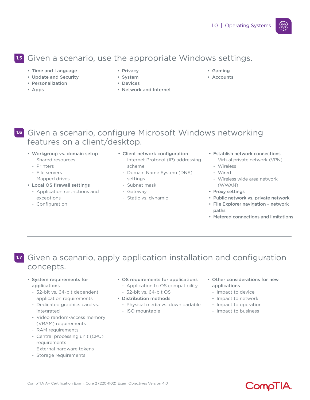## Given a scenario, use the appropriate Windows settings. **1.5**

- Time and Language
- Update and Security
- Personalization
- Apps
- Privacy
- System
- Devices
- Network and Internet
- Gaming
- Accounts

## **1.6** Given a scenario, configure Microsoft Windows networking features on a client/desktop.

- Workgroup vs. domain setup
	- Shared resources
	- Printers
	- File servers
	- Mapped drives
- Local OS firewall settings
	- Application restrictions and exceptions
	- Configuration
- Client network configuration
	- Internet Protocol (IP) addressing scheme
	- Domain Name System (DNS) settings
	- Subnet mask
	- Gateway
	- Static vs. dynamic
- Establish network connections
	- Virtual private network (VPN)
	- Wireless
	- Wired
	- Wireless wide area network (WWAN)
- Proxy settings
- Public network vs. private network
- File Explorer navigation network paths
- Metered connections and limitations

## **1.7** Given a scenario, apply application installation and configuration concepts.

- System requirements for applications
	- 32-bit vs. 64-bit dependent application requirements
	- Dedicated graphics card vs. integrated
	- Video random-access memory (VRAM) requirements
	- RAM requirements
	- Central processing unit (CPU) requirements
	- External hardware tokens
	- Storage requirements
- OS requirements for applications
	- Application to OS compatibility - 32-bit vs. 64-bit OS
- Distribution methods
	- Physical media vs. downloadable
	- ISO mountable
- Other considerations for new applications

**CompliA** 

- Impact to device
- Impact to network
- Impact to operation
- Impact to business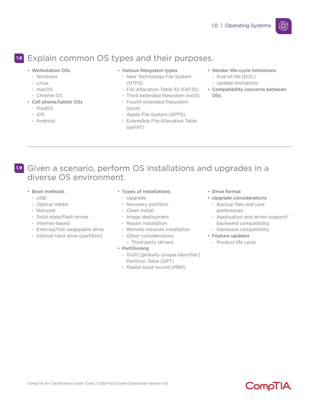## Explain common OS types and their purposes. **1.8**

- Workstation OSs
	- Windows
	- Linux
	- macOS
	- Chrome OS
- Cell phone/tablet OSs
	- iPadOS
	- iOS
	- Android

### • Various filesystem types

- New Technology File System (NTFS)
- File Allocation Table 32 (FAT32)
- Third extended filesystem (ext3)
- Fourth extended filesystem (ext4)
- Apple File System (APFS) - Extensible File Allocation Table (exFAT)
- Vendor life-cycle limitations
	- End-of-life (EOL) - Update limitations
- Compatibility concerns between OSs

- **1.9** Given a scenario, perform OS installations and upgrades in a diverse OS environment.
	- Boot methods
		- USB
		- Optical media
		- Network
		- Solid-state/flash drives
		- Internet-based
		- External/hot-swappable drive
		- Internal hard drive (partition)
- Types of installations
- Upgrade
- Recovery partition
- Clean install
- Image deployment
- Repair installation
- Remote network installation
- Other considerations
- □ Third-party drivers

### • Partitioning

- GUID [globally unique identifier] Partition Table (GPT)
- Master boot record (MBR)
- Drive format
- Upgrade considerations
	- Backup files and user preferences
	- Application and driver support/ backward compatibility

**CompliA** 

- Hardware compatibility
- Feature updates
	- Product life cycle

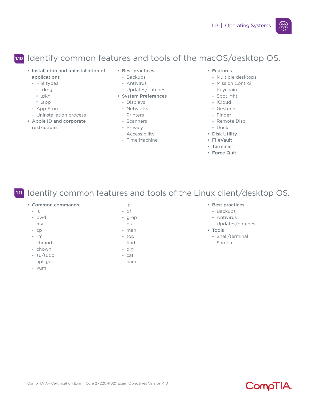## **1.10** Identify common features and tools of the macOS/desktop OS.

- Installation and uninstallation of applications
	- File types
	- M .dmg
	- $\neg$  .pkg
	- M .app
	- App Store
- Uninstallation process
- Apple ID and corporate restrictions
- Best practices
- Backups
- Antivirus
- Updates/patches
- System Preferences
	- Displays
	- Networks
	- Printers
	- Scanners
	- Privacy
	- Accessibility
	- Time Machine

### • Features

- Multiple desktops
- Mission Control
- Keychain
- Spotlight
- iCloud
- Gestures
- Finder
- Remote Disc
- Dock
- Disk Utility
- FileVault
- Terminal
- Force Quit

**1.11** Identify common features and tools of the Linux client/desktop OS.

- Common commands
	- ls
	- pwd
	- mv
	- cp
	- rm
	- chmod
	- chown
	- su/sudo
	- apt-get
	- yum
- ip - df
- grep
- ps
- man
- top
- find
- dig
- cat
- nano

### • Best practices

- Backups
- Antivirus
- Updates/patches
- Tools
	- Shell/terminal
	- Samba



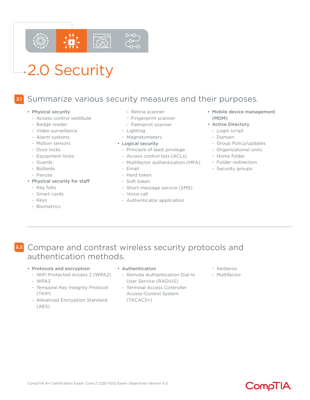

# **4.2.0 Security**

#### **2.1** Summarize various security measures and their purposes.

- Physical security
	- Access control vestibule
	- Badge reader
	- Video surveillance
	- Alarm systems
	- Motion sensors
	- Door locks
	- Equipment locks
	- Guards
	- Bollards
	- Fences
- Physical security for staff
	- Key fobs
	- Smart cards
	- Keys
	- Biometrics
- $\Box$  Retina scanner
- $\Box$  Fingerprint scanner
- M Palmprint scanner
- Lighting
- Magnetometers
- Logical security
- Principle of least privilege
- Access control lists (ACLs)
- Multifactor authentication (MFA)
- Email
- Hard token
- Soft token
- Short message service (SMS)
- Voice call
- Authenticator application
- Mobile device management (MDM)
- Active Directory
	- Login script
	- Domain
	- Group Policy/updates
	- Organizational units
- Home folder
- Folder redirection
- Security groups

- **2.2** Compare and contrast wireless security protocols and authentication methods.
	- Protocols and encryption
		- WiFi Protected Access 2 (WPA2)
		- WPA3
		- Temporal Key Integrity Protocol (TKIP)
		- Advanced Encryption Standard (AES)
- Authentication
	- Remote Authentication Dial-In User Service (RADIUS)
	- Terminal Access Controller Access-Control System (TACACS+)
- Kerberos
- Multifactor

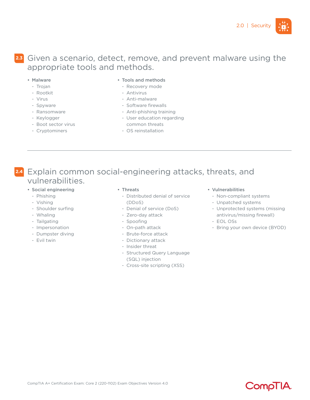

## Given a scenario, detect, remove, and prevent malware using the **2.3** appropriate tools and methods.

- Malware
	- Trojan
	- Rootkit
	- Virus
	- Spyware
	- Ransomware
	- Keylogger
	- Boot sector virus
	- Cryptominers
- Tools and methods
	- Recovery mode
- Antivirus
- Anti-malware
- Software firewalls
- Anti-phishing training
- User education regarding common threats
- OS reinstallation

## **2.4** Explain common social-engineering attacks, threats, and vulnerabilities.

- Social engineering
	- Phishing
	- Vishing
	- Shoulder surfing
	- Whaling
	- Tailgating
	- Impersonation
	- Dumpster diving
	- Evil twin

#### • Threats

- Distributed denial of service (DDoS)
- Denial of service (DoS)
- Zero-day attack
- Spoofing
- On-path attack
- Brute-force attack
- Dictionary attack
- Insider threat
- Structured Query Language (SQL) injection
- Cross-site scripting (XSS)

### • Vulnerabilities

- Non-compliant systems
- Unpatched systems
- Unprotected systems (missing antivirus/missing firewall)
- EOL OSs
- Bring your own device (BYOD)

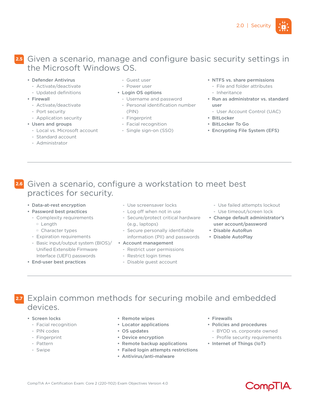

### **2.5** Given a scenario, manage and configure basic security settings in the Microsoft Windows OS.

- Defender Antivirus
- Activate/deactivate
- Updated definitions
- Firewall
	- Activate/deactivate
	- Port security
- Application security
- Users and groups
- Local vs. Microsoft account
- Standard account
- Administrator
- Guest user
- Power user
- Login OS options
	- Username and password
	- Personal identification number (PIN)
	- Fingerprint
	- Facial recognition
	- Single sign-on (SSO)
- NTFS vs. share permissions
- File and folder attributes - Inheritance
- Run as administrator vs. standard user
	- User Account Control (UAC)
- BitLocker
- BitLocker To Go
- Encrypting File System (EFS)

## Given a scenario, configure a workstation to meet best **2.6** practices for security.

- Data-at-rest encryption
- Password best practices
	- Complexity requirements
		- □ Length
		- M Character types
	- Expiration requirements
	- Basic input/output system (BIOS)/ Unified Extensible Firmware Interface (UEFI) passwords
- End-user best practices
- Use screensaver locks
- Log off when not in use
- Secure/protect critical hardware (e.g., laptops)
- Secure personally identifiable information (PII) and passwords
- Account management
	- Restrict user permissions
	- Restrict login times
	- Disable guest account
- Use failed attempts lockout
- Use timeout/screen lock
- Change default administrator's user account/password
- Disable AutoRun
- Disable AutoPlay

- **2.7** Explain common methods for securing mobile and embedded devices.
	- Screen locks
		- Facial recognition
		- PIN codes
		- Fingerprint
		- Pattern
		- Swipe
- Remote wipes
- Locator applications
- OS updates
- Device encryption
- Remote backup applications
- Failed login attempts restrictions
- Antivirus/anti-malware
- Firewalls
- Policies and procedures
- BYOD vs. corporate owned
- Profile security requirements

CompTIA

• Internet of Things (IoT)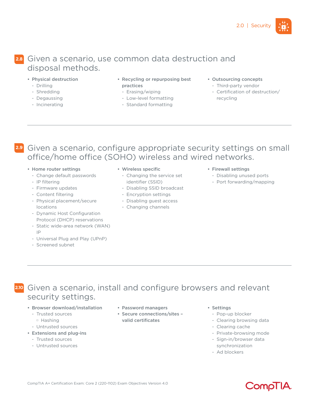### **2.8** Given a scenario, use common data destruction and disposal methods.

- Physical destruction
- Drilling
- Shredding
- Degaussing
- Incinerating
- Recycling or repurposing best practices
	- Erasing/wiping
- Low-level formatting
- Standard formatting
- Outsourcing concepts
	- Third-party vendor
	- Certification of destruction/ recycling

- **2.9** Given a scenario, configure appropriate security settings on small office/home office (SOHO) wireless and wired networks.
	- Home router settings
		- Change default passwords
		- IP filtering
		- Firmware updates
		- Content filtering
		- Physical placement/secure locations
		- Dynamic Host Configuration Protocol (DHCP) reservations
		- Static wide-area network (WAN) IP
		- Universal Plug and Play (UPnP)
		- Screened subnet
- Wireless specific
	- Changing the service set identifier (SSID)
	- Disabling SSID broadcast
	- Encryption settings
	- Disabling guest access
	- Changing channels
- Firewall settings
	- Disabling unused ports
	- Port forwarding/mapping

- **2.10** Given a scenario, install and configure browsers and relevant security settings.
	- Browser download/installation
		- Trusted sources
			- $\Box$  Hashing
		- Untrusted sources
	- Extensions and plug-ins
		- Trusted sources
		- Untrusted sources
- Password managers
- Secure connections/sites valid certificates
- Settings
	- Pop-up blocker
	- Clearing browsing data
- Clearing cache
- Private-browsing mode
- Sign-in/browser data synchronization
- Ad blockers

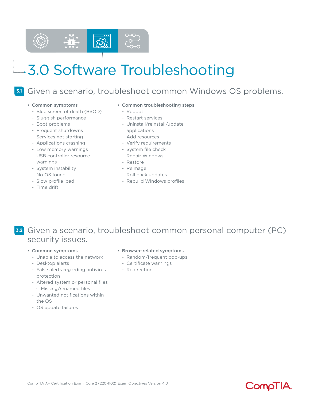

# 3.0 Software Troubleshooting

## Given a scenario, troubleshoot common Windows OS problems.

**3.1**

- Common symptoms
	- Blue screen of death (BSOD)
	- Sluggish performance
	- Boot problems
	- Frequent shutdowns
	- Services not starting
	- Applications crashing
	- Low memory warnings
	- USB controller resource warnings
	- System instability
	- No OS found
	- Slow profile load
	- Time drift

### • Common troubleshooting steps

- Reboot
- Restart services
- Uninstall/reinstall/update applications
- Add resources
- Verify requirements
- System file check
- Repair Windows
- Restore
- Reimage
- Roll back updates
- Rebuild Windows profiles

## **3.2** Given a scenario, troubleshoot common personal computer (PC) security issues.

- Common symptoms
	- Unable to access the network
	- Desktop alerts
	- False alerts regarding antivirus protection
	- Altered system or personal files M Missing/renamed files
	- Unwanted notifications within the OS
	- OS update failures
- Browser-related symptoms
	- Random/frequent pop-ups
	- Certificate warnings
	- Redirection

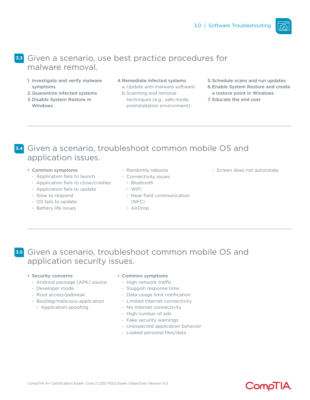

## Given a scenario, use best practice procedures for **3.3** malware removal.

- 1. Investigate and verify malware symptoms
- 2.Quarantine infected systems
- 3.Disable System Restore in Windows
- 4.Remediate infected systems

a. Update anti-malware software b.Scanning and removal

- techniques (e.g., safe mode, preinstallation environment)
- 5.Schedule scans and run updates
- 6.Enable System Restore and create a restore point in Windows
- 7. Educate the end user

## **3.4** Given a scenario, troubleshoot common mobile OS and application issues.

- Common symptoms
	- Application fails to launch
	- Application fails to close/crashes
	- Application fails to update
	- Slow to respond
	- OS fails to update
	- Battery life issues
- Randomly reboots
- Connectivity issues
	- **Bluetooth**
	- M WiFi
	- M Near-field communication
		- (NFC)
	- M AirDrop

- Screen does not autorotate

**3.5** Given a scenario, troubleshoot common mobile OS and application security issues.

### • Security concerns

- Android package (APK) source
- Developer mode
- Root access/jailbreak
- Bootleg/malicious application
	- $\Box$  Application spoofing

### • Common symptoms

- High network traffic
- Sluggish response time
- Data-usage limit notification
- Limited Internet connectivity
- No Internet connectivity
- High number of ads
- Fake security warnings
- Unexpected application behavior
- Leaked personal files/data

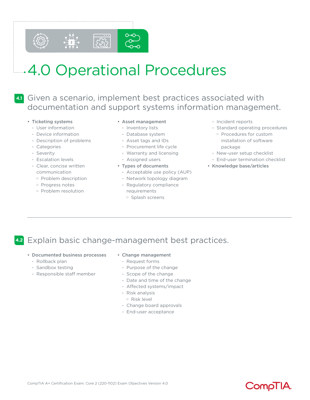

## **4.1** Given a scenario, implement best practices associated with documentation and support systems information management.

### • Ticketing systems

- User information
- Device information
- Description of problems
- Categories
- Severity
- Escalation levels
- Clear, concise written communication
	- M Problem description
	- M Progress notes
	- **Problem resolution**

### • Asset management

- Inventory lists
- Database system
- Asset tags and IDs
- Procurement life cycle
- Warranty and licensing
- Assigned users

### • Types of documents

- Acceptable use policy (AUP)
- Network topology diagram
- Regulatory compliance requirements
	- □ Splash screens
- Incident reports
- Standard operating procedures
- **Procedures for custom** installation of software package
- New-user setup checklist
- End-user termination checklist
- Knowledge base/articles

## **4.2** Explain basic change-management best practices.

- Documented business processes
	- Rollback plan
	- Sandbox testing
	- Responsible staff member
- Change management
	- Request forms
	- Purpose of the change
	- Scope of the change
	- Date and time of the change
	- Affected systems/impact
	- Risk analysis
		- $R$  Risk level
	- Change board approvals
	- End-user acceptance

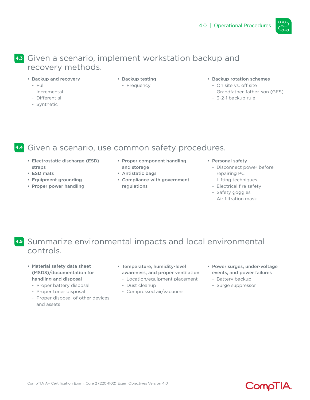

## Given a scenario, implement workstation backup and **4.3** recovery methods.

- Backup and recovery
	- Full
	- Incremental
	- Differential
	- Synthetic
- Backup testing
- Frequency
- Backup rotation schemes
	- On site vs. off site
	- Grandfather-father-son (GFS)
	- 3-2-1 backup rule

## **4.4** Given a scenario, use common safety procedures.

- Electrostatic discharge (ESD) straps
- ESD mats
- Equipment grounding
- Proper power handling
- Proper component handling and storage
- Antistatic bags
- Compliance with government regulations
- Personal safety
	- Disconnect power before repairing PC
	- Lifting techniques
	- Electrical fire safety
	- Safety goggles
	- Air filtration mask

## **4.5** Summarize environmental impacts and local environmental controls.

- Material safety data sheet (MSDS)/documentation for handling and disposal
	- Proper battery disposal
	- Proper toner disposal
	- Proper disposal of other devices and assets
- Temperature, humidity-level awareness, and proper ventilation
	- Location/equipment placement
	- Dust cleanup
	- Compressed air/vacuums
- Power surges, under-voltage events, and power failures
	- Battery backup
	- Surge suppressor

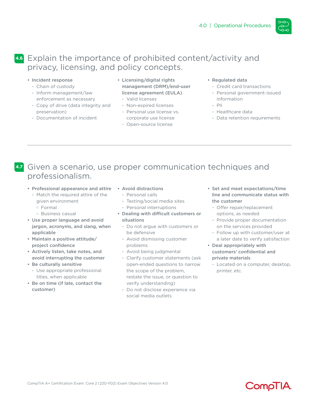

## Explain the importance of prohibited content/activity and **4.6** privacy, licensing, and policy concepts.

- Incident response
	- Chain of custody
	- Inform management/law enforcement as necessary
	- Copy of drive (data integrity and preservation)
	- Documentation of incident
- Licensing/digital rights management (DRM)/end-user license agreement (EULA)
	- Valid licenses
	- Non-expired licenses
	- Personal use license vs. corporate use license
	- Open-source license
- Regulated data
	- Credit card transactions
	- Personal government-issued information
	- PII
	- Healthcare data
	- Data retention requirements

## **4.7** Given a scenario, use proper communication techniques and professionalism.

- Professional appearance and attire
- Match the required attire of the given environment
	- $D$  Formal
	- $\Box$  Business casual
- Use proper language and avoid jargon, acronyms, and slang, when applicable
- Maintain a positive attitude/ project confidence
- Actively listen, take notes, and avoid interrupting the customer
- Be culturally sensitive
	- Use appropriate professional titles, when applicable
- Be on time (if late, contact the customer)
- Avoid distractions
	- Personal calls
	- Texting/social media sites
	- Personal interruptions
- Dealing with difficult customers or situations
	- Do not argue with customers or be defensive
	- Avoid dismissing customer problems
	- Avoid being judgmental
	- Clarify customer statements (ask open-ended questions to narrow the scope of the problem, restate the issue, or question to verify understanding)
	- Do not disclose experience via social media outlets
- Set and meet expectations/time line and communicate status with the customer
	- Offer repair/replacement options, as needed
	- Provide proper documentation on the services provided
	- Follow up with customer/user at a later date to verify satisfaction
- Deal appropriately with customers' confidential and private materials
	- Located on a computer, desktop, printer, etc.

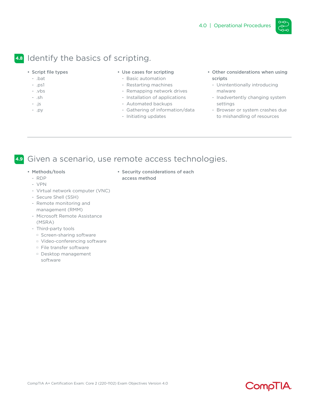

## **4.8** Identify the basics of scripting.

- Script file types
	- .bat
	- .ps1
	- .vbs
	- .sh
	- .js
	- .py

### • Use cases for scripting

- Basic automation
- Restarting machines
- Remapping network drives
- Installation of applications
- Automated backups
- Gathering of information/data

• Security considerations of each

- Initiating updates

access method

- Other considerations when using scripts
	- Unintentionally introducing malware
	- Inadvertently changing system settings
	- Browser or system crashes due to mishandling of resources

## **4.9** Given a scenario, use remote access technologies.

- Methods/tools
	- RDP
	- VPN
	- Virtual network computer (VNC)
	- Secure Shell (SSH)
	- Remote monitoring and management (RMM)
	- Microsoft Remote Assistance (MSRA)
	- Third-party tools
		- □ Screen-sharing software
		- □ Video-conferencing software
		- □ File transfer software
		- M Desktop management software

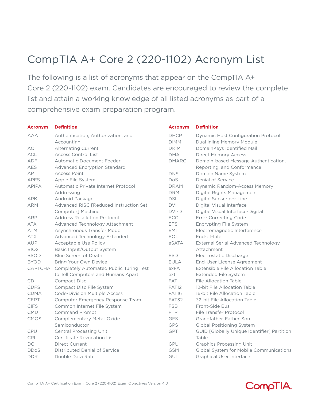## CompTIA A+ Core 2 (220-1102) Acronym List

The following is a list of acronyms that appear on the CompTIA A+ Core 2 (220-1102) exam. Candidates are encouraged to review the complete list and attain a working knowledge of all listed acronyms as part of a comprehensive exam preparation program.

| <b>Acronym</b> | <b>Definition</b>                       | <b>Acronym</b> | <b>Definition</b>                                  |
|----------------|-----------------------------------------|----------------|----------------------------------------------------|
| <b>AAA</b>     | Authentication, Authorization, and      | <b>DHCP</b>    | Dynamic Host Configuration Protocol                |
|                | Accounting                              | <b>DIMM</b>    | Dual Inline Memory Module                          |
| AC             | Alternating Current                     | <b>DKIM</b>    | DomainKeys Identified Mail                         |
| <b>ACL</b>     | <b>Access Control List</b>              | <b>DMA</b>     | <b>Direct Memory Access</b>                        |
| ADF            | Automatic Document Feeder               | <b>DMARC</b>   | Domain-based Message Authentication,               |
| <b>AES</b>     | <b>Advanced Encryption Standard</b>     |                | Reporting, and Conformance                         |
| AP             | <b>Access Point</b>                     | <b>DNS</b>     | Domain Name System                                 |
| <b>APFS</b>    | Apple File System                       | <b>DoS</b>     | Denial of Service                                  |
| <b>APIPA</b>   | Automatic Private Internet Protocol     | <b>DRAM</b>    | Dynamic Random-Access Memory                       |
|                | Addressing                              | <b>DRM</b>     | Digital Rights Management                          |
| <b>APK</b>     | Android Package                         | <b>DSL</b>     | Digital Subscriber Line                            |
| <b>ARM</b>     | Advanced RISC [Reduced Instruction Set  | <b>DVI</b>     | Digital Visual Interface                           |
|                | Computer] Machine                       | $DVI-D$        | Digital Visual Interface-Digital                   |
| <b>ARP</b>     | <b>Address Resolution Protocol</b>      | ECC            | <b>Error Correcting Code</b>                       |
| <b>ATA</b>     | Advanced Technology Attachment          | <b>EFS</b>     | Encrypting File System                             |
| <b>ATM</b>     | Asynchronous Transfer Mode              | EMI            | Electromagnetic Interference                       |
| <b>ATX</b>     | Advanced Technology Extended            | EOL            | End-of-Life                                        |
| AUP            | Acceptable Use Policy                   | eSATA          | External Serial Advanced Technology                |
| <b>BIOS</b>    | Basic Input/Output System               |                | Attachment                                         |
| <b>BSOD</b>    | Blue Screen of Death                    | <b>ESD</b>     | Electrostatic Discharge                            |
| <b>BYOD</b>    | Bring Your Own Device                   | <b>EULA</b>    | End-User License Agreement                         |
| <b>CAPTCHA</b> | Completely Automated Public Turing Test | exFAT          | Extensible File Allocation Table                   |
|                | to Tell Computers and Humans Apart      | ext            | Extended File System                               |
| CD             | <b>Compact Disc</b>                     | <b>FAT</b>     | File Allocation Table                              |
| <b>CDFS</b>    | Compact Disc File System                | FAT12          | 12-bit File Allocation Table                       |
| CDMA           | <b>Code-Division Multiple Access</b>    | FAT16          | 16-bit File Allocation Table                       |
| CERT           | Computer Emergency Response Team        | FAT32          | 32-bit File Allocation Table                       |
| <b>CIFS</b>    | Common Internet File System             | <b>FSB</b>     | Front-Side Bus                                     |
| <b>CMD</b>     | <b>Command Prompt</b>                   | <b>FTP</b>     | File Transfer Protocol                             |
| CMOS           | Complementary Metal-Oxide               | <b>GFS</b>     | Grandfather-Father-Son                             |
|                | Semiconductor                           | GPS            | <b>Global Positioning System</b>                   |
| CPU            | <b>Central Processing Unit</b>          | GPT            | <b>GUID [Globally Unique Identifier] Partition</b> |
| CRL            | <b>Certificate Revocation List</b>      |                | Table                                              |
| DC             | Direct Current                          | GPU            | <b>Graphics Processing Unit</b>                    |
| <b>DDoS</b>    | Distributed Denial of Service           | <b>GSM</b>     | Global System for Mobile Communications            |
| <b>DDR</b>     | Double Data Rate                        | GUI            | <b>Graphical User Interface</b>                    |

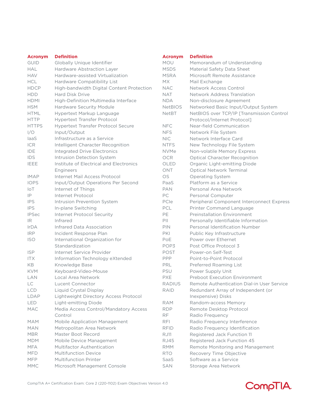| <b>Acronym</b> | <b>Definition</b>                         | <b>Acronym</b> | <b>Definition</b>                          |  |
|----------------|-------------------------------------------|----------------|--------------------------------------------|--|
| <b>GUID</b>    | Globally Unique Identifier                | MOU            | Memorandum of Understanding                |  |
| <b>HAL</b>     | Hardware Abstraction Layer                | <b>MSDS</b>    | Material Safety Data Sheet                 |  |
| <b>HAV</b>     | Hardware-assisted Virtualization          | <b>MSRA</b>    | Microsoft Remote Assistance                |  |
| <b>HCL</b>     | Hardware Compatibility List               | <b>MX</b>      | Mail Exchange                              |  |
| <b>HDCP</b>    | High-bandwidth Digital Content Protection | <b>NAC</b>     | Network Access Control                     |  |
| <b>HDD</b>     | <b>Hard Disk Drive</b>                    | <b>NAT</b>     | Network Address Translation                |  |
| <b>HDMI</b>    | High-Definition Multimedia Interface      | <b>NDA</b>     | Non-disclosure Agreement                   |  |
| <b>HSM</b>     | Hardware Security Module                  | <b>NetBIOS</b> | Networked Basic Input/Output System        |  |
| <b>HTML</b>    | Hypertext Markup Language                 | <b>NetBT</b>   | NetBIOS over TCP/IP [Transmission Control] |  |
| <b>HTTP</b>    | <b>Hypertext Transfer Protocol</b>        |                | Protocol/Internet Protocol]                |  |
| <b>HTTPS</b>   | <b>Hypertext Transfer Protocol Secure</b> | <b>NFC</b>     | Near-field Communication                   |  |
| 1/O            | Input/Output                              | <b>NFS</b>     | Network File System                        |  |
| laaS           | Infrastructure as a Service               | <b>NIC</b>     | Network Interface Card                     |  |
| <b>ICR</b>     | Intelligent Character Recognition         | <b>NTFS</b>    | New Technology File System                 |  |
| IDE            | <b>Integrated Drive Electronics</b>       | <b>NVMe</b>    | Non-volatile Memory Express                |  |
| IDS            | Intrusion Detection System                | <b>OCR</b>     | <b>Optical Character Recognition</b>       |  |
| <b>IEEE</b>    | Institute of Electrical and Electronics   | OLED           | Organic Light-emitting Diode               |  |
|                | Engineers                                 | ONT            | <b>Optical Network Terminal</b>            |  |
| <b>IMAP</b>    | Internet Mail Access Protocol             | OS             | Operating System                           |  |
| <b>IOPS</b>    | Input/Output Operations Per Second        | PaaS           | Platform as a Service                      |  |
| IOT            | Internet of Things                        | <b>PAN</b>     | Personal Area Network                      |  |
| IP             | Internet Protocol                         | PC             | Personal Computer                          |  |
| <b>IPS</b>     | Intrusion Prevention System               | PCIe           | Peripheral Component Interconnect Express  |  |
| <b>IPS</b>     | In-plane Switching                        | PCL            | Printer Command Language                   |  |
| <b>IPSec</b>   | Internet Protocol Security                | PE             | <b>Preinstallation Environment</b>         |  |
| IR.            | Infrared                                  | P              | Personally Identifiable Information        |  |
| <b>IrDA</b>    | Infrared Data Association                 | <b>PIN</b>     | Personal Identification Number             |  |
| <b>IRP</b>     | Incident Response Plan                    | <b>PKI</b>     | Public Key Infrastructure                  |  |
| <b>ISO</b>     | International Organization for            | PoE            | Power over Ethernet                        |  |
|                | Standardization                           | POP3           | Post Office Protocol 3                     |  |
| <b>ISP</b>     | Internet Service Provider                 | POST           | Power-on Self-Test                         |  |
| <b>ITX</b>     | Information Technology eXtended           | PPP            | Point-to-Point Protocol                    |  |
| KB             | Knowledge Base                            | PRL            | Preferred Roaming List                     |  |
| <b>KVM</b>     | Keyboard-Video-Mouse                      | PSU            | Power Supply Unit                          |  |
| LAN            | Local Area Network                        | <b>PXE</b>     | <b>Preboot Execution Environment</b>       |  |
| LC             | Lucent Connector                          | <b>RADIUS</b>  | Remote Authentication Dial-in User Service |  |
| LCD            | Liquid Crystal Display                    | <b>RAID</b>    | Redundant Array of Independent (or         |  |
| LDAP           | Lightweight Directory Access Protocol     |                | Inexpensive) Disks                         |  |
| LED            | Light-emitting Diode                      | <b>RAM</b>     | Random-access Memory                       |  |
| <b>MAC</b>     | Media Access Control/Mandatory Access     | <b>RDP</b>     | Remote Desktop Protocol                    |  |
|                | Control                                   | <b>RF</b>      | Radio Frequency                            |  |
| <b>MAM</b>     | Mobile Application Management             | <b>RFI</b>     | Radio Frequency Interference               |  |
| <b>MAN</b>     | Metropolitan Area Network                 | <b>RFID</b>    | Radio Frequency Identification             |  |
| <b>MBR</b>     | Master Boot Record                        | <b>RJ11</b>    | Registered Jack Function 11                |  |
| <b>MDM</b>     | Mobile Device Management                  | <b>RJ45</b>    | Registered Jack Function 45                |  |
| <b>MFA</b>     | Multifactor Authentication                | <b>RMM</b>     | Remote Monitoring and Management           |  |
| <b>MFD</b>     | <b>Multifunction Device</b>               | <b>RTO</b>     | Recovery Time Objective                    |  |
| <b>MFP</b>     | <b>Multifunction Printer</b>              | SaaS           | Software as a Service                      |  |
| <b>MMC</b>     | Microsoft Management Console              | SAN            | Storage Area Network                       |  |

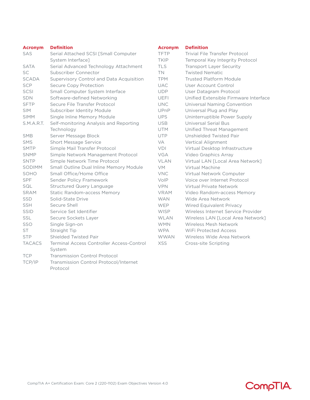| <b>Acronym</b> | <b>Definition</b>                                | <b>Acronym</b> | <b>Definition</b>   |
|----------------|--------------------------------------------------|----------------|---------------------|
| SAS            | Serial Attached SCSI [Small Computer             | <b>TFTP</b>    | <b>Trivial File</b> |
|                | System Interface]                                | <b>TKIP</b>    | Temporal            |
| <b>SATA</b>    | Serial Advanced Technology Attachment            | <b>TLS</b>     | Transport           |
| SC             | Subscriber Connector                             | <b>TN</b>      | <b>Twisted N</b>    |
| <b>SCADA</b>   | Supervisory Control and Data Acquisition         | <b>TPM</b>     | <b>Trusted PI</b>   |
| <b>SCP</b>     | Secure Copy Protection                           | <b>UAC</b>     | User Acco           |
| <b>SCSI</b>    | Small Computer System Interface                  | <b>UDP</b>     | User Data           |
| <b>SDN</b>     | Software-defined Networking                      | <b>UEFI</b>    | Unified Ex          |
| <b>SFTP</b>    | Secure File Transfer Protocol                    | <b>UNC</b>     | Universal I         |
| <b>SIM</b>     | Subscriber Identity Module                       | UPnP           | Universal I         |
| <b>SIMM</b>    | Single Inline Memory Module                      | <b>UPS</b>     | Uninterrup          |
| S.M.A.R.T.     | Self-monitoring Analysis and Reporting           | <b>USB</b>     | Universal :         |
|                | Technology                                       | <b>UTM</b>     | Unified Th          |
| SMB            | Server Message Block                             | <b>UTP</b>     | Unshielde           |
| <b>SMS</b>     | <b>Short Message Service</b>                     | VA             | Vertical A          |
| <b>SMTP</b>    | Simple Mail Transfer Protocol                    | VDI            | Virtual De          |
| <b>SNMP</b>    | Simple Network Management Protocol               | <b>VGA</b>     | Video Gra           |
| <b>SNTP</b>    | Simple Network Time Protocol                     | <b>VLAN</b>    | Virtual LA          |
| <b>SODIMM</b>  | Small Outline Dual Inline Memory Module          | <b>VM</b>      | Virtual Ma          |
| SOHO           | Small Office/Home Office                         | <b>VNC</b>     | Virtual Ne          |
| <b>SPF</b>     | Sender Policy Framework                          | VoIP           | Voice over          |
| SQL            | <b>Structured Query Language</b>                 | <b>VPN</b>     | Virtual Pri         |
| <b>SRAM</b>    | <b>Static Random-access Memory</b>               | <b>VRAM</b>    | Video Ran           |
| SSD            | Solid-State Drive                                | <b>WAN</b>     | Wide Area           |
| <b>SSH</b>     | Secure Shell                                     | <b>WEP</b>     | Wired Equ           |
| <b>SSID</b>    | Service Set Identifier                           | <b>WISP</b>    | Wireless In         |
| <b>SSL</b>     | Secure Sockets Layer                             | <b>WLAN</b>    | Wireless L          |
| SSO            | Single Sign-on                                   | <b>WMN</b>     | Wireless M          |
| <b>ST</b>      | Straight Tip                                     | <b>WPA</b>     | WiFi Prote          |
| <b>STP</b>     | Shielded Twisted Pair                            | <b>WWAN</b>    | Wireless V          |
| <b>TACACS</b>  | <b>Terminal Access Controller Access-Control</b> | <b>XSS</b>     | Cross-site          |
|                | System                                           |                |                     |
| <b>TCP</b>     | <b>Transmission Control Protocol</b>             |                |                     |
| TCP/IP         | Transmission Control Protocol/Internet           |                |                     |
|                | Protocol                                         |                |                     |

### **Acronym Definition** Transfer Protocol Key Integrity Protocol Layer Security Iematic latform Module ount Control gram Protocol tensible Firmware Interface Naming Convention Plug and Play ptible Power Supply Serial Bus **Inteat Management** d Twisted Pair lignment sktop Infrastructure phics Array N [Local Area Network] achine twork Computer r Internet Protocol ivate Network ndom-access Memory a Network uivalent Privacy nternet Service Provider AN [Local Area Network] Mesh Network ected Access Wide Area Network Scripting